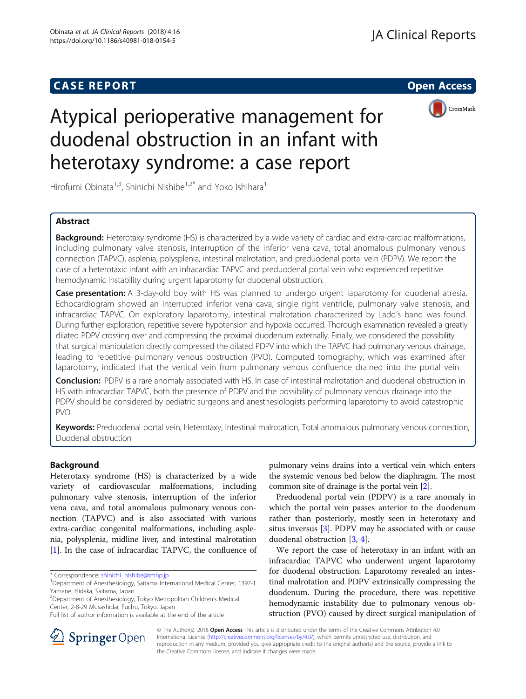## **CASE REPORT CASE REPORT CASE REPORT**



# Atypical perioperative management for duodenal obstruction in an infant with heterotaxy syndrome: a case report

Hirofumi Obinata<sup>1,3</sup>, Shinichi Nishibe<sup>1,2\*</sup> and Yoko Ishihara<sup>1</sup>

## Abstract

Background: Heterotaxy syndrome (HS) is characterized by a wide variety of cardiac and extra-cardiac malformations, including pulmonary valve stenosis, interruption of the inferior vena cava, total anomalous pulmonary venous connection (TAPVC), asplenia, polysplenia, intestinal malrotation, and preduodenal portal vein (PDPV). We report the case of a heterotaxic infant with an infracardiac TAPVC and preduodenal portal vein who experienced repetitive hemodynamic instability during urgent laparotomy for duodenal obstruction.

Case presentation: A 3-day-old boy with HS was planned to undergo urgent laparotomy for duodenal atresia. Echocardiogram showed an interrupted inferior vena cava, single right ventricle, pulmonary valve stenosis, and infracardiac TAPVC. On exploratory laparotomy, intestinal malrotation characterized by Ladd's band was found. During further exploration, repetitive severe hypotension and hypoxia occurred. Thorough examination revealed a greatly dilated PDPV crossing over and compressing the proximal duodenum externally. Finally, we considered the possibility that surgical manipulation directly compressed the dilated PDPV into which the TAPVC had pulmonary venous drainage, leading to repetitive pulmonary venous obstruction (PVO). Computed tomography, which was examined after laparotomy, indicated that the vertical vein from pulmonary venous confluence drained into the portal vein.

Conclusion: PDPV is a rare anomaly associated with HS. In case of intestinal malrotation and duodenal obstruction in HS with infracardiac TAPVC, both the presence of PDPV and the possibility of pulmonary venous drainage into the PDPV should be considered by pediatric surgeons and anesthesiologists performing laparotomy to avoid catastrophic PVO.

Keywords: Preduodenal portal vein, Heterotaxy, Intestinal malrotation, Total anomalous pulmonary venous connection, Duodenal obstruction

## Background

Heterotaxy syndrome (HS) is characterized by a wide variety of cardiovascular malformations, including pulmonary valve stenosis, interruption of the inferior vena cava, and total anomalous pulmonary venous connection (TAPVC) and is also associated with various extra-cardiac congenital malformations, including asplenia, polysplenia, midline liver, and intestinal malrotation [[1\]](#page-2-0). In the case of infracardiac TAPVC, the confluence of

2 Department of Anesthesiology, Tokyo Metropolitan Children's Medical Center, 2-8-29 Musashidai, Fuchu, Tokyo, Japan

pulmonary veins drains into a vertical vein which enters the systemic venous bed below the diaphragm. The most common site of drainage is the portal vein [\[2\]](#page-2-0).

Preduodenal portal vein (PDPV) is a rare anomaly in which the portal vein passes anterior to the duodenum rather than posteriorly, mostly seen in heterotaxy and situs inversus  $[3]$  $[3]$ . PDPV may be associated with or cause duodenal obstruction [\[3](#page-2-0), [4](#page-2-0)].

We report the case of heterotaxy in an infant with an infracardiac TAPVC who underwent urgent laparotomy for duodenal obstruction. Laparotomy revealed an intestinal malrotation and PDPV extrinsically compressing the duodenum. During the procedure, there was repetitive hemodynamic instability due to pulmonary venous obstruction (PVO) caused by direct surgical manipulation of



© The Author(s). 2018 Open Access This article is distributed under the terms of the Creative Commons Attribution 4.0 International License ([http://creativecommons.org/licenses/by/4.0/\)](http://creativecommons.org/licenses/by/4.0/), which permits unrestricted use, distribution, and reproduction in any medium, provided you give appropriate credit to the original author(s) and the source, provide a link to the Creative Commons license, and indicate if changes were made.

<sup>\*</sup> Correspondence: [shinichi\\_nishibe@tmhp.jp](mailto:shinichi_nishibe@tmhp.jp) <sup>1</sup>

<sup>&</sup>lt;sup>1</sup>Department of Anesthesiology, Saitama International Medical Center, 1397-1 Yamane, Hidaka, Saitama, Japan

Full list of author information is available at the end of the article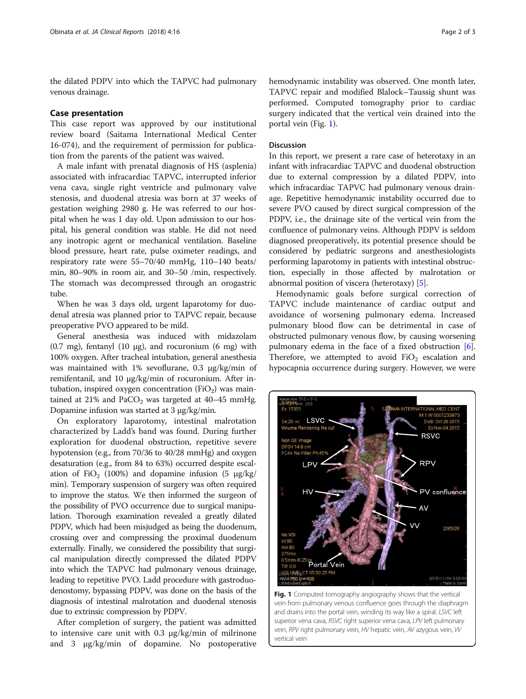the dilated PDPV into which the TAPVC had pulmonary venous drainage.

#### Case presentation

This case report was approved by our institutional review board (Saitama International Medical Center 16-074), and the requirement of permission for publication from the parents of the patient was waived.

A male infant with prenatal diagnosis of HS (asplenia) associated with infracardiac TAPVC, interrupted inferior vena cava, single right ventricle and pulmonary valve stenosis, and duodenal atresia was born at 37 weeks of gestation weighing 2980 g. He was referred to our hospital when he was 1 day old. Upon admission to our hospital, his general condition was stable. He did not need any inotropic agent or mechanical ventilation. Baseline blood pressure, heart rate, pulse oximeter readings, and respiratory rate were 55–70/40 mmHg, 110–140 beats/ min, 80–90% in room air, and 30–50 /min, respectively. The stomach was decompressed through an orogastric tube.

When he was 3 days old, urgent laparotomy for duodenal atresia was planned prior to TAPVC repair, because preoperative PVO appeared to be mild.

General anesthesia was induced with midazolam (0.7 mg), fentanyl (10 μg), and rocuronium (6 mg) with 100% oxygen. After tracheal intubation, general anesthesia was maintained with 1% sevoflurane, 0.3 μg/kg/min of remifentanil, and 10 μg/kg/min of rocuronium. After intubation, inspired oxygen concentration  $(FiO<sub>2</sub>)$  was maintained at 21% and  $PaCO<sub>2</sub>$  was targeted at 40–45 mmHg. Dopamine infusion was started at 3 μg/kg/min.

On exploratory laparotomy, intestinal malrotation characterized by Ladd's band was found. During further exploration for duodenal obstruction, repetitive severe hypotension (e.g., from 70/36 to 40/28 mmHg) and oxygen desaturation (e.g., from 84 to 63%) occurred despite escalation of FiO<sub>2</sub> (100%) and dopamine infusion (5  $\mu$ g/kg/ min). Temporary suspension of surgery was often required to improve the status. We then informed the surgeon of the possibility of PVO occurrence due to surgical manipulation. Thorough examination revealed a greatly dilated PDPV, which had been misjudged as being the duodenum, crossing over and compressing the proximal duodenum externally. Finally, we considered the possibility that surgical manipulation directly compressed the dilated PDPV into which the TAPVC had pulmonary venous drainage, leading to repetitive PVO. Ladd procedure with gastroduodenostomy, bypassing PDPV, was done on the basis of the diagnosis of intestinal malrotation and duodenal stenosis due to extrinsic compression by PDPV.

After completion of surgery, the patient was admitted to intensive care unit with 0.3 μg/kg/min of milrinone and 3 μg/kg/min of dopamine. No postoperative hemodynamic instability was observed. One month later, TAPVC repair and modified Blalock–Taussig shunt was performed. Computed tomography prior to cardiac surgery indicated that the vertical vein drained into the portal vein (Fig. 1).

### Discussion

In this report, we present a rare case of heterotaxy in an infant with infracardiac TAPVC and duodenal obstruction due to external compression by a dilated PDPV, into which infracardiac TAPVC had pulmonary venous drainage. Repetitive hemodynamic instability occurred due to severe PVO caused by direct surgical compression of the PDPV, i.e., the drainage site of the vertical vein from the confluence of pulmonary veins. Although PDPV is seldom diagnosed preoperatively, its potential presence should be considered by pediatric surgeons and anesthesiologists performing laparotomy in patients with intestinal obstruction, especially in those affected by malrotation or abnormal position of viscera (heterotaxy) [[5\]](#page-2-0).

Hemodynamic goals before surgical correction of TAPVC include maintenance of cardiac output and avoidance of worsening pulmonary edema. Increased pulmonary blood flow can be detrimental in case of obstructed pulmonary venous flow, by causing worsening pulmonary edema in the face of a fixed obstruction [[6](#page-2-0)]. Therefore, we attempted to avoid  $FiO<sub>2</sub>$  escalation and hypocapnia occurrence during surgery. However, we were



Fig. 1 Computed tomography angiography shows that the vertical vein from pulmonary venous confluence goes through the diaphragm and drains into the portal vein, winding its way like a spiral. LSVC left superior vena cava, RSVC right superior vena cava, LPV left pulmonary vein, RPV right pulmonary vein, HV hepatic vein, AV azygous vein, W vertical vein